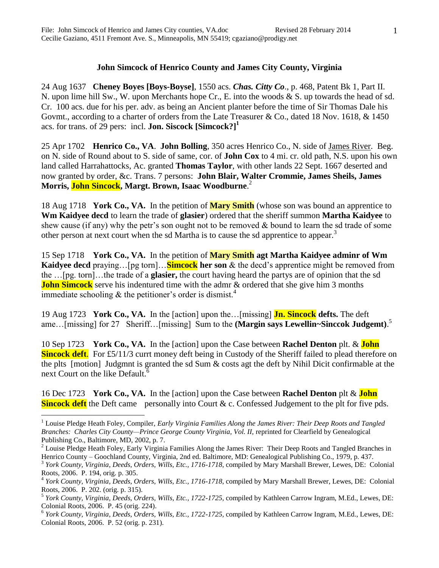## **John Simcock of Henrico County and James City County, Virginia**

24 Aug 1637 **Cheney Boyes [Boys-Boyse]**, 1550 acs. *Chas. Citty Co*., p. 468, Patent Bk 1, Part II. N. upon lime hill Sw., W. upon Merchants hope Cr., E. into the woods & S. up towards the head of sd. Cr. 100 acs. due for his per. adv. as being an Ancient planter before the time of Sir Thomas Dale his Govmt., according to a charter of orders from the Late Treasurer & Co., dated 18 Nov. 1618, & 1450 acs. for trans. of 29 pers: incl. **Jon. Siscock [Simcock?]<sup>1</sup>**

25 Apr 1702 **Henrico Co., VA**. **John Bolling**, 350 acres Henrico Co., N. side of James River. Beg. on N. side of Round about to S. side of same, cor. of **John Cox** to 4 mi. cr. old path, N.S. upon his own land called Harrahattocks, Ac. granted **Thomas Taylor**, with other lands 22 Sept. 1667 deserted and now granted by order, &c. Trans. 7 persons: **John Blair, Walter Crommie, James Sheils, James Morris, John Sincock, Margt. Brown, Isaac Woodburne**. 2

18 Aug 1718 **York Co., VA.** In the petition of **Mary Smith** (whose son was bound an apprentice to **Wm Kaidyee decd** to learn the trade of **glasier**) ordered that the sheriff summon **Martha Kaidyee** to shew cause (if any) why the petr's son ought not to be removed  $\&$  bound to learn the sd trade of some other person at next court when the sd Martha is to cause the sd apprentice to appear.<sup>3</sup>

15 Sep 1718 **York Co., VA.** In the petition of **Mary Smith agt Martha Kaidyee adminr of Wm Kaidyee decd** praying…[pg torn]…**Simcock her son** & the decd's apprentice might be removed from the …[pg. torn]…the trade of a **glasier,** the court having heard the partys are of opinion that the sd **John Simcock** serve his indentured time with the admr & ordered that she give him 3 months immediate schooling  $\&$  the petitioner's order is dismist.<sup>4</sup>

19 Aug 1723 **York Co., VA.** In the [action] upon the…[missing] **Jn. Sincock defts.** The deft ame…[missing] for 27 Sheriff…[missing] Sum to the **(Margin says Lewellin~Sinccok Judgemt)**. 5

10 Sep 1723 **York Co., VA.** In the [action] upon the Case between **Rachel Denton** plt. & **John Sincock deft.** For £5/11/3 currt money deft being in Custody of the Sheriff failed to plead therefore on the plts [motion] Judgmnt is granted the sd Sum & costs agt the deft by Nihil Dicit confirmable at the next Court on the like Default.<sup>6</sup>

16 Dec 1723 **York Co., VA.** In the [action] upon the Case between **Rachel Denton** plt & **John Sincock deft** the Deft came personally into Court & c. Confessed Judgement to the plt for five pds.

 $\overline{a}$ 

<sup>1</sup> Louise Pledge Heath Foley, Compiler, *Early Virginia Families Along the James River: Their Deep Roots and Tangled Branches: Charles City County—Prince George County Virginia, Vol. II, reprinted for Clearfield by Genealogical* Publishing Co., Baltimore, MD, 2002, p. 7.

<sup>&</sup>lt;sup>2</sup> Louise Pledge Heath Foley, Early Virginia Families Along the James River: Their Deep Roots and Tangled Branches in Henrico County – Goochland County, Virginia, 2nd ed. Baltimore, MD: Genealogical Publishing Co., 1979, p. 437.

<sup>&</sup>lt;sup>3</sup> York County, Virginia, Deeds, Orders, Wills, Etc., 1716-1718, compiled by Mary Marshall Brewer, Lewes, DE: Colonial Roots, 2006. P. 194, orig. p. 305.

<sup>4</sup> *York County, Virginia, Deeds, Orders, Wills, Etc., 1716-1718*, compiled by Mary Marshall Brewer, Lewes, DE: Colonial Roots, 2006. P. 202. (orig. p. 315).

<sup>5</sup> *York County, Virginia, Deeds, Orders, Wills, Etc., 1722-1725,* compiled by Kathleen Carrow Ingram, M.Ed., Lewes, DE: Colonial Roots, 2006. P. 45 (orig. 224).

<sup>6</sup> *York County, Virginia, Deeds, Orders, Wills, Etc., 1722-1725,* compiled by Kathleen Carrow Ingram, M.Ed., Lewes, DE: Colonial Roots, 2006. P. 52 (orig. p. 231).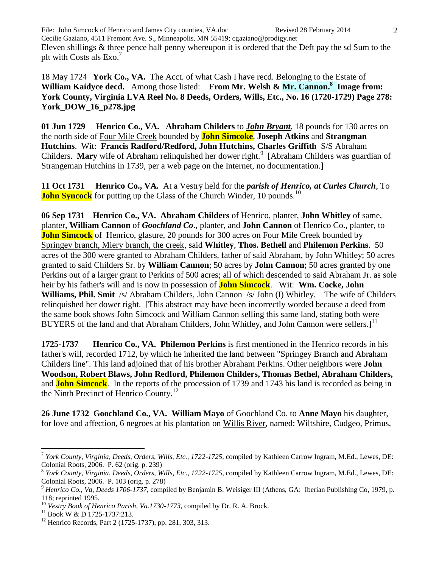File: John Simcock of Henrico and James City counties, VA.doc Revised 28 February 2014 Cecilie Gaziano, 4511 Fremont Ave. S., Minneapolis, MN 55419; cgaziano@prodigy.net Eleven shillings & three pence half penny whereupon it is ordered that the Deft pay the sd Sum to the plt with Costs als  $Exo.'$ 

18 May 1724 **York Co., VA.** The Acct. of what Cash I have recd. Belonging to the Estate of William Kaidyce decd. Among those listed: From Mr. Welsh & Mr. Cannon.<sup>8</sup> Image from: **York County, Virginia LVA Reel No. 8 Deeds, Orders, Wills, Etc., No. 16 (1720-1729) Page 278: York\_DOW\_16\_p278.jpg**

**01 Jun 1729 Henrico Co., VA. Abraham Childers** to *John Bryant*, 18 pounds for 130 acres on the north side of Four Mile Creek bounded by **John Simcoke**, **Joseph Atkins** and **Strangman Hutchins**. Wit: **Francis Radford/Redford, John Hutchins, Charles Griffith** S/S Abraham Childers. Mary wife of Abraham relinquished her dower right.<sup>9</sup> [Abraham Childers was guardian of Strangeman Hutchins in 1739, per a web page on the Internet, no documentation.]

**11 Oct 1731 Henrico Co., VA.** At a Vestry held for the *parish of Henrico, at Curles Church*, To **John Syncock** for putting up the Glass of the Church Winder, 10 pounds.<sup>10</sup>

**06 Sep 1731 Henrico Co., VA. Abraham Childers** of Henrico, planter, **John Whitley** of same, planter, **William Cannon** of *Goochland Co*., planter, and **John Cannon** of Henrico Co., planter, to **John Simcock** of Henrico, glasure, 20 pounds for 300 acres on Four Mile Creek bounded by Springey branch, Miery branch, the creek, said **Whitley**, **Thos. Bethell** and **Philemon Perkins**. 50 acres of the 300 were granted to Abraham Childers, father of said Abraham, by John Whitley; 50 acres granted to said Childers Sr. by **William Cannon**; 50 acres by **John Cannon**; 50 acres granted by one Perkins out of a larger grant to Perkins of 500 acres; all of which descended to said Abraham Jr. as sole heir by his father's will and is now in possession of **John Simcock**. Wit: **Wm. Cocke, John Williams, Phil. Smit** /s/ Abraham Childers, John Cannon /s/ John (I) Whitley. The wife of Childers relinquished her dower right. [This abstract may have been incorrectly worded because a deed from the same book shows John Simcock and William Cannon selling this same land, stating both were BUYERS of the land and that Abraham Childers, John Whitley, and John Cannon were sellers.]<sup>11</sup>

**1725-1737 Henrico Co., VA. Philemon Perkins** is first mentioned in the Henrico records in his father's will, recorded 1712, by which he inherited the land between "Springey Branch and Abraham Childers line". This land adjoined that of his brother Abraham Perkins. Other neighbors were **John Woodson, Robert Blaws, John Redford, Philemon Childers, Thomas Bethel, Abraham Childers,**  and **John Simcock**. In the reports of the procession of 1739 and 1743 his land is recorded as being in the Ninth Precinct of Henrico County.<sup>12</sup>

**26 June 1732 Goochland Co., VA. William Mayo** of Goochland Co. to **Anne Mayo** his daughter, for love and affection, 6 negroes at his plantation on Willis River, named: Wiltshire, Cudgeo, Primus,

 $\overline{a}$ 

<sup>7</sup> *York County, Virginia, Deeds, Orders, Wills, Etc., 1722-1725,* compiled by Kathleen Carrow Ingram, M.Ed., Lewes, DE: Colonial Roots, 2006. P. 62 (orig. p. 239)

<sup>8</sup> *York County, Virginia, Deeds, Orders, Wills, Etc., 1722-1725,* compiled by Kathleen Carrow Ingram, M.Ed., Lewes, DE: Colonial Roots, 2006. P. 103 (orig. p. 278)

<sup>&</sup>lt;sup>9</sup> Henrico Co., Va, Deeds 1706-1737, compiled by Benjamin B. Weisiger III (Athens, GA: Iberian Publishing Co, 1979, p. 118; reprinted 1995.

<sup>10</sup> *Vestry Book of Henrico Parish, Va.1730-1773*, compiled by Dr. R. A. Brock.

 $11$  Book W & D 1725-1737:213.

<sup>12</sup> Henrico Records, Part 2 (1725-1737), pp. 281, 303, 313.